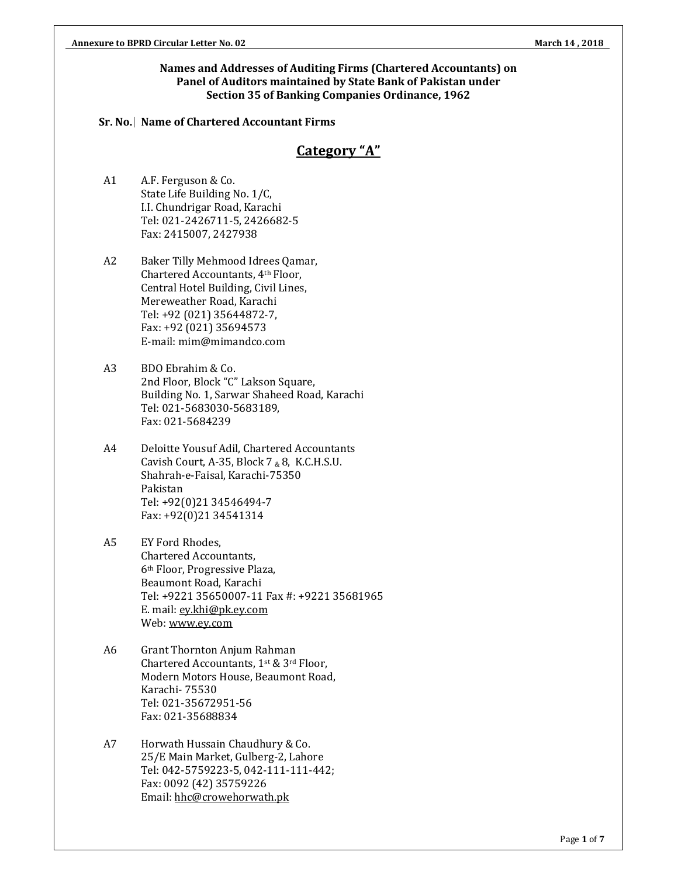#### **Names and Addresses of Auditing Firms (Chartered Accountants) on Panel of Auditors maintained by State Bank of Pakistan under Section 35 of Banking Companies Ordinance, 1962**

#### **Sr. No. Name of Chartered Accountant Firms**

### **Category "A"**

- A1 A.F. Ferguson & Co. State Life Building No. 1/C, I.I. Chundrigar Road, Karachi Tel: 021-2426711-5, 2426682-5 Fax: 2415007, 2427938
- A2 Baker Tilly Mehmood Idrees Qamar, Chartered Accountants, 4th Floor, Central Hotel Building, Civil Lines, Mereweather Road, Karachi Tel: +92 (021) 35644872-7, Fax: +92 (021) 35694573 E-mail: mim@mimandco.com
- A3 BDO Ebrahim & Co. 2nd Floor, Block "C" Lakson Square, Building No. 1, Sarwar Shaheed Road, Karachi Tel: 021-5683030-5683189, Fax: 021-5684239
- A4 Deloitte Yousuf Adil, Chartered Accountants Cavish Court, A-35, Block 7  $_{8}$  8, K.C.H.S.U. Shahrah-e-Faisal, Karachi-75350 Pakistan Tel: +92(0)21 34546494-7 Fax: +92(0)21 34541314
- A5 EY Ford Rhodes, Chartered Accountants, 6th Floor, Progressive Plaza, Beaumont Road, Karachi Tel: +9221 35650007-11 Fax #: +9221 35681965 E. mail: ey.khi@pk.ey.com Web: www.ey.com
- A6 Grant Thornton Anjum Rahman Chartered Accountants, 1st & 3rd Floor, Modern Motors House, Beaumont Road, Karachi- 75530 Tel: 021-35672951-56 Fax: 021-35688834
- A7 Horwath Hussain Chaudhury & Co. 25/E Main Market, Gulberg-2, Lahore Tel: 042-5759223-5, 042-111-111-442; Fax: 0092 (42) 35759226 Email: hhc@crowehorwath.pk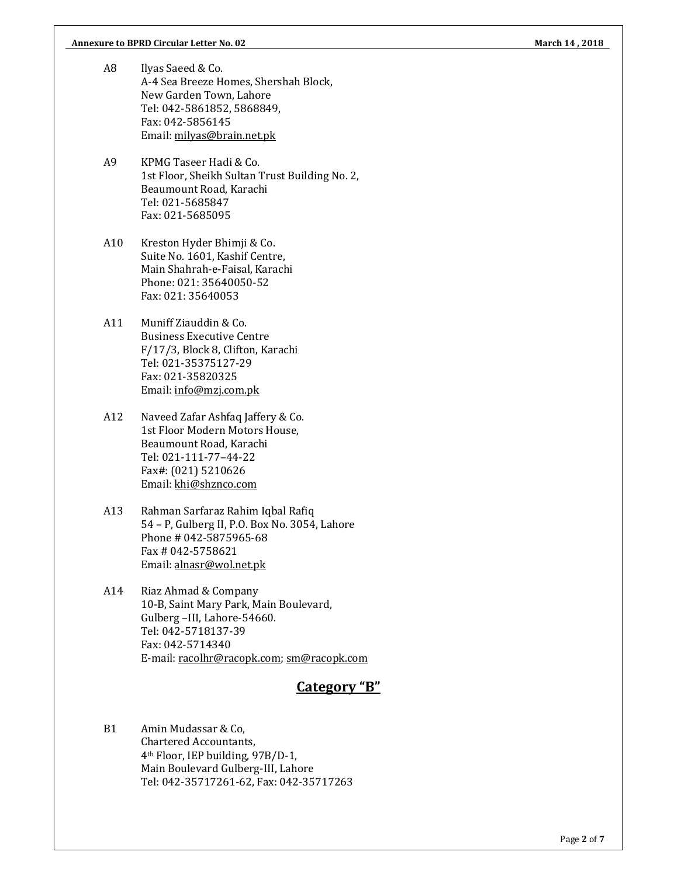- A8 Ilyas Saeed & Co. A-4 Sea Breeze Homes, Shershah Block, New Garden Town, Lahore Tel: 042-5861852, 5868849, Fax: 042-5856145 Email: milyas@brain.net.pk
- A9 KPMG Taseer Hadi & Co. 1st Floor, Sheikh Sultan Trust Building No. 2, Beaumount Road, Karachi Tel: 021-5685847 Fax: 021-5685095
- A10 Kreston Hyder Bhimji & Co. Suite No. 1601, Kashif Centre, Main Shahrah-e-Faisal, Karachi Phone: 021: 35640050-52 Fax: 021: 35640053
- A11 Muniff Ziauddin & Co. Business Executive Centre F/17/3, Block 8, Clifton, Karachi Tel: 021-35375127-29 Fax: 021-35820325 Email: info@mzj.com.pk
- A12 Naveed Zafar Ashfaq Jaffery & Co. 1st Floor Modern Motors House, Beaumount Road, Karachi Tel: 021-111-77–44-22 Fax#: (021) 5210626 Email: khi@shznco.com
- A13 Rahman Sarfaraz Rahim Iqbal Rafiq 54 – P, Gulberg II, P.O. Box No. 3054, Lahore Phone # 042-5875965-68 Fax # 042-5758621 Email: alnasr@wol.net.pk
- A14 Riaz Ahmad & Company 10-B, Saint Mary Park, Main Boulevard, Gulberg –III, Lahore-54660. Tel: 042-5718137-39 Fax: 042-5714340 E-mail: racolhr@racopk.com; sm@racopk.com

# **Category "B"**

B1 Amin Mudassar & Co, Chartered Accountants, 4th Floor, IEP building, 97B/D-1, Main Boulevard Gulberg-III, Lahore Tel: 042-35717261-62, Fax: 042-35717263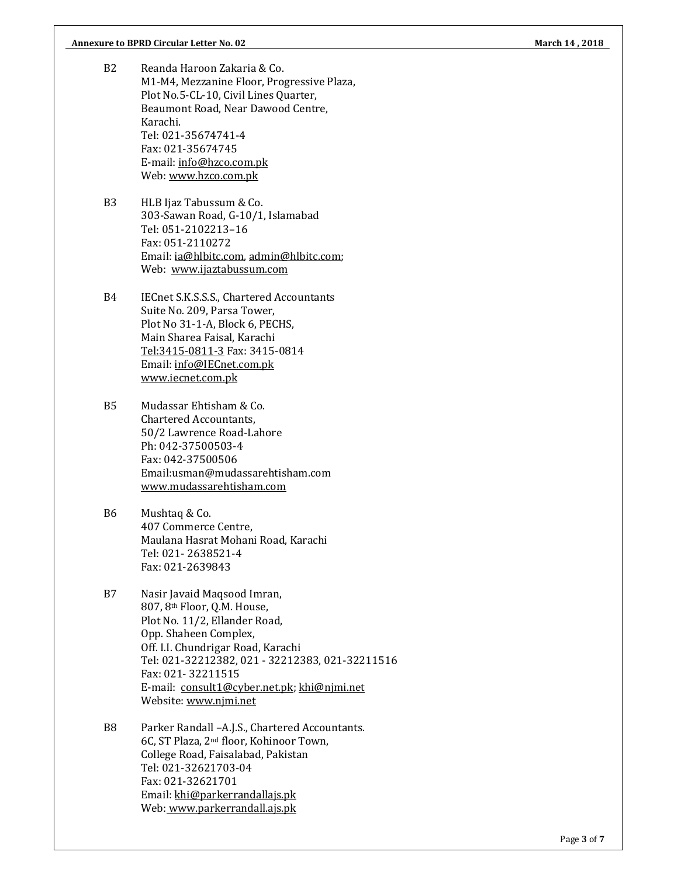- B2 Reanda Haroon Zakaria & Co. M1-M4, Mezzanine Floor, Progressive Plaza, Plot No.5-CL-10, Civil Lines Quarter, Beaumont Road, Near Dawood Centre, Karachi. Tel: 021-35674741-4 Fax: 021-35674745 E-mail: info@hzco.com.pk Web: www.hzco.com.pk
- B3 HLB Ijaz Tabussum & Co. 303-Sawan Road, G-10/1, Islamabad Tel: 051-2102213–16 Fax: 051-2110272 Email: ia@hlbitc.com, admin@hlbitc.com; Web: www.ijaztabussum.com
- B4 IECnet S.K.S.S.S., Chartered Accountants Suite No. 209, Parsa Tower, Plot No 31-1-A, Block 6, PECHS, Main Sharea Faisal, Karachi Tel:3415-0811-3 Fax: 3415-0814 Email: info@IECnet.com.pk www.iecnet.com.pk
- B5 Mudassar Ehtisham & Co. Chartered Accountants, 50/2 Lawrence Road-Lahore Ph: 042-37500503-4 Fax: 042-37500506 Email:usman@mudassarehtisham.com www.mudassarehtisham.com
- B6 Mushtaq & Co. 407 Commerce Centre, Maulana Hasrat Mohani Road, Karachi Tel: 021- 2638521-4 Fax: 021-2639843
- B7 Nasir Javaid Maqsood Imran, 807, 8th Floor, Q.M. House, Plot No. 11/2, Ellander Road, Opp. Shaheen Complex, Off. I.I. Chundrigar Road, Karachi Tel: 021-32212382, 021 - 32212383, 021-32211516 Fax: 021- 32211515 E-mail: consult1@cyber.net.pk; khi@njmi.net Website: www.njmi.net
- B8 Parker Randall –A.J.S., Chartered Accountants. 6C, ST Plaza, 2nd floor, Kohinoor Town, College Road, Faisalabad, Pakistan Tel: 021-32621703-04 Fax: 021-32621701 Email: khi@parkerrandallajs.pk Web: www.parkerrandall.ajs.pk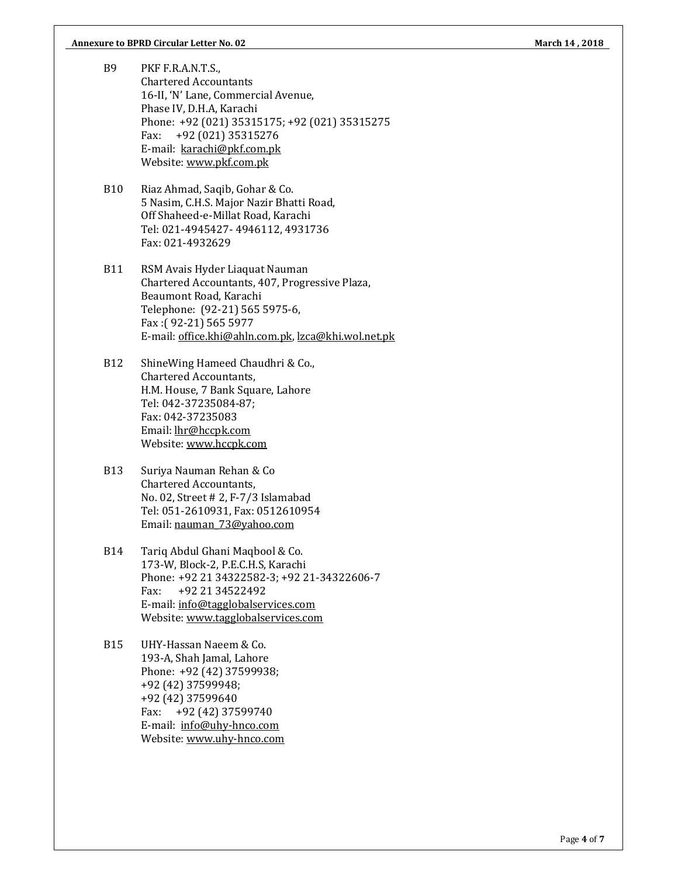#### **Annexure to BPRD Circular Letter No. 02 March 14 , 2018**

- B9 PKF F.R.A.N.T.S., Chartered Accountants 16-II, 'N' Lane, Commercial Avenue, Phase IV, D.H.A, Karachi Phone: +92 (021) 35315175; +92 (021) 35315275 Fax: +92 (021) 35315276 E-mail: karachi@pkf.com.pk Website: www.pkf.com.pk
- B10 Riaz Ahmad, Saqib, Gohar & Co. 5 Nasim, C.H.S. Major Nazir Bhatti Road, Off Shaheed-e-Millat Road, Karachi Tel: 021-4945427- 4946112, 4931736 Fax: 021-4932629
- B11 RSM Avais Hyder Liaquat Nauman Chartered Accountants, 407, Progressive Plaza, Beaumont Road, Karachi Telephone: (92-21) 565 5975-6, Fax :( 92-21) 565 5977 E-mail: office.khi@ahln.com.pk, lzca@khi.wol.net.pk
- B12 ShineWing Hameed Chaudhri & Co., Chartered Accountants, H.M. House, 7 Bank Square, Lahore Tel: 042-37235084-87; Fax: 042-37235083 Email: lhr@hccpk.com Website: www.hccpk.com
- B13 Suriya Nauman Rehan & Co Chartered Accountants, No. 02, Street # 2, F-7/3 Islamabad Tel: 051-2610931, Fax: 0512610954 Email: nauman\_73@yahoo.com
- B14 Tariq Abdul Ghani Maqbool & Co. 173-W, Block-2, P.E.C.H.S, Karachi Phone: +92 21 34322582-3; +92 21-34322606-7 Fax: +92 21 34522492 E-mail: info@tagglobalservices.com Website: www.tagglobalservices.com
- B15 UHY-Hassan Naeem & Co. 193-A, Shah Jamal, Lahore Phone: +92 (42) 37599938; +92 (42) 37599948; +92 (42) 37599640 Fax: +92 (42) 37599740 E-mail: info@uhy-hnco.com Website: www.uhy-hnco.com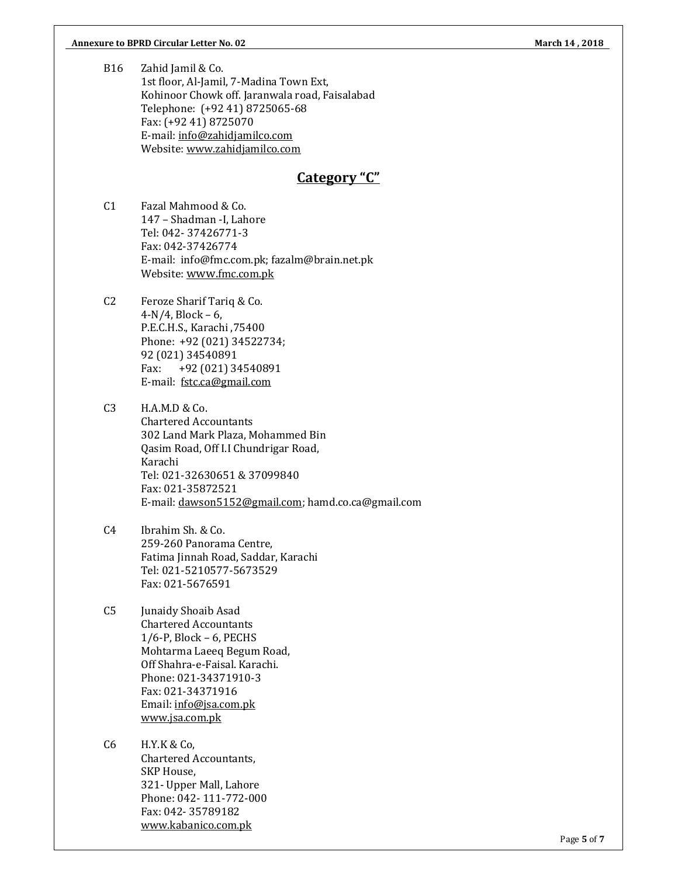B16 Zahid Jamil & Co. 1st floor, Al-Jamil, 7-Madina Town Ext, Kohinoor Chowk off. Jaranwala road, Faisalabad Telephone: (+92 41) 8725065-68 Fax: (+92 41) 8725070 E-mail: info@zahidjamilco.com Website: www.zahidjamilco.com

# **Category "C"**

- C1 Fazal Mahmood & Co. 147 – Shadman -I, Lahore Tel: 042- 37426771-3 Fax: 042-37426774 E-mail: info@fmc.com.pk; fazalm@brain.net.pk Website: www.fmc.com.pk
- C2 Feroze Sharif Tariq & Co.  $4-N/4$ , Block – 6, P.E.C.H.S., Karachi ,75400 Phone: +92 (021) 34522734; 92 (021) 34540891 Fax: +92 (021) 34540891 E-mail: fstc.ca@gmail.com
- C3 H.A.M.D & Co. Chartered Accountants 302 Land Mark Plaza, Mohammed Bin Qasim Road, Off I.I Chundrigar Road, Karachi Tel: 021-32630651 & 37099840 Fax: 021-35872521 E-mail: dawson5152@gmail.com; hamd.co.ca@gmail.com
- C4 Ibrahim Sh. & Co. 259-260 Panorama Centre, Fatima Jinnah Road, Saddar, Karachi Tel: 021-5210577-5673529 Fax: 021-5676591
- C5 Junaidy Shoaib Asad Chartered Accountants 1/6-P, Block – 6, PECHS Mohtarma Laeeq Begum Road, Off Shahra-e-Faisal. Karachi. Phone: 021-34371910-3 Fax: 021-34371916 Email: info@jsa.com.pk www.jsa.com.pk
- C6 H.Y.K & Co, Chartered Accountants, SKP House, 321- Upper Mall, Lahore Phone: 042- 111-772-000 Fax: 042- 35789182 www.kabanico.com.pk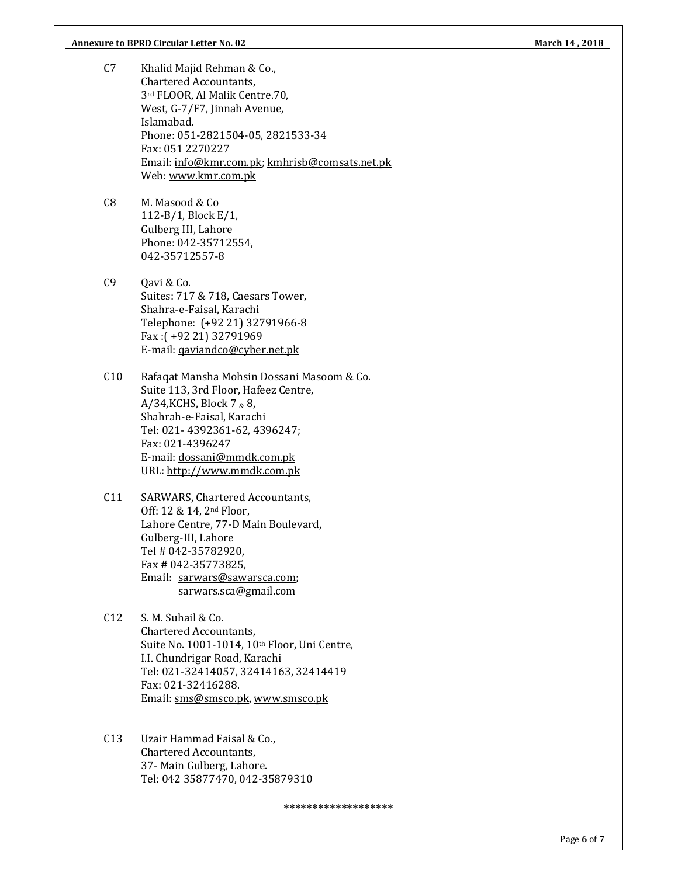- C7 Khalid Majid Rehman & Co., Chartered Accountants, 3rd FLOOR, Al Malik Centre.70, West, G-7/F7, Jinnah Avenue, Islamabad. Phone: 051-2821504-05, 2821533-34 Fax: 051 2270227 Email: info@kmr.com.pk; kmhrisb@comsats.net.pk Web: www.kmr.com.pk
- C8 M. Masood & Co 112-B/1, Block E/1, Gulberg III, Lahore Phone: 042-35712554, 042-35712557-8
- C<sub>9</sub> Oavi & C<sub>o</sub>. Suites: 717 & 718, Caesars Tower, Shahra-e-Faisal, Karachi Telephone: (+92 21) 32791966-8 Fax :( +92 21) 32791969 E-mail: qaviandco@cyber.net.pk
- C10 Rafaqat Mansha Mohsin Dossani Masoom & Co. Suite 113, 3rd Floor, Hafeez Centre, A/34, KCHS, Block 7  $\&$  8, Shahrah-e-Faisal, Karachi Tel: 021- 4392361-62, 4396247; Fax: 021-4396247 E-mail: dossani@mmdk.com.pk URL: http://www.mmdk.com.pk
- C11 SARWARS, Chartered Accountants, Off: 12 & 14, 2nd Floor, Lahore Centre, 77-D Main Boulevard, Gulberg-III, Lahore Tel # 042-35782920, Fax # 042-35773825, Email: sarwars@sawarsca.com; sarwars.sca@gmail.com
- C12 S. M. Suhail & Co. Chartered Accountants, Suite No. 1001-1014, 10th Floor, Uni Centre, I.I. Chundrigar Road, Karachi Tel: 021-32414057, 32414163, 32414419 Fax: 021-32416288. Email: sms@smsco.pk, www.smsco.pk
- C13 Uzair Hammad Faisal & Co., Chartered Accountants, 37- Main Gulberg, Lahore. Tel: 042 35877470, 042-35879310

\*\*\*\*\*\*\*\*\*\*\*\*\*\*\*\*\*\*\*